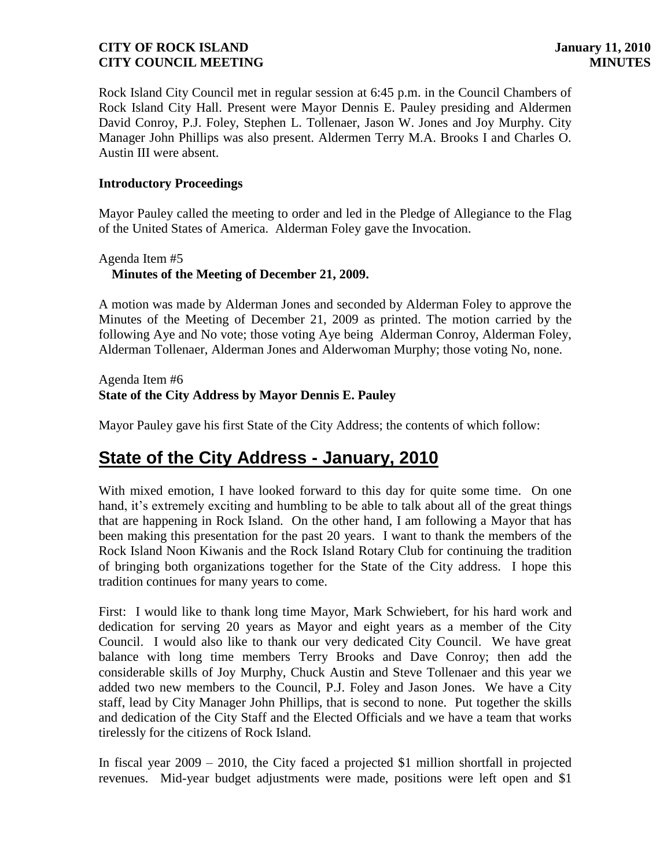Rock Island City Council met in regular session at 6:45 p.m. in the Council Chambers of Rock Island City Hall. Present were Mayor Dennis E. Pauley presiding and Aldermen David Conroy, P.J. Foley, Stephen L. Tollenaer, Jason W. Jones and Joy Murphy. City Manager John Phillips was also present. Aldermen Terry M.A. Brooks I and Charles O. Austin III were absent.

#### **Introductory Proceedings**

Mayor Pauley called the meeting to order and led in the Pledge of Allegiance to the Flag of the United States of America. Alderman Foley gave the Invocation.

# Agenda Item #5  **Minutes of the Meeting of December 21, 2009.**

A motion was made by Alderman Jones and seconded by Alderman Foley to approve the Minutes of the Meeting of December 21, 2009 as printed. The motion carried by the following Aye and No vote; those voting Aye being Alderman Conroy, Alderman Foley, Alderman Tollenaer, Alderman Jones and Alderwoman Murphy; those voting No, none.

#### Agenda Item #6 **State of the City Address by Mayor Dennis E. Pauley**

Mayor Pauley gave his first State of the City Address; the contents of which follow:

# **State of the City Address - January, 2010**

With mixed emotion, I have looked forward to this day for quite some time. On one hand, it's extremely exciting and humbling to be able to talk about all of the great things that are happening in Rock Island. On the other hand, I am following a Mayor that has been making this presentation for the past 20 years. I want to thank the members of the Rock Island Noon Kiwanis and the Rock Island Rotary Club for continuing the tradition of bringing both organizations together for the State of the City address. I hope this tradition continues for many years to come.

First: I would like to thank long time Mayor, Mark Schwiebert, for his hard work and dedication for serving 20 years as Mayor and eight years as a member of the City Council. I would also like to thank our very dedicated City Council. We have great balance with long time members Terry Brooks and Dave Conroy; then add the considerable skills of Joy Murphy, Chuck Austin and Steve Tollenaer and this year we added two new members to the Council, P.J. Foley and Jason Jones. We have a City staff, lead by City Manager John Phillips, that is second to none. Put together the skills and dedication of the City Staff and the Elected Officials and we have a team that works tirelessly for the citizens of Rock Island.

In fiscal year 2009 – 2010, the City faced a projected \$1 million shortfall in projected revenues. Mid-year budget adjustments were made, positions were left open and \$1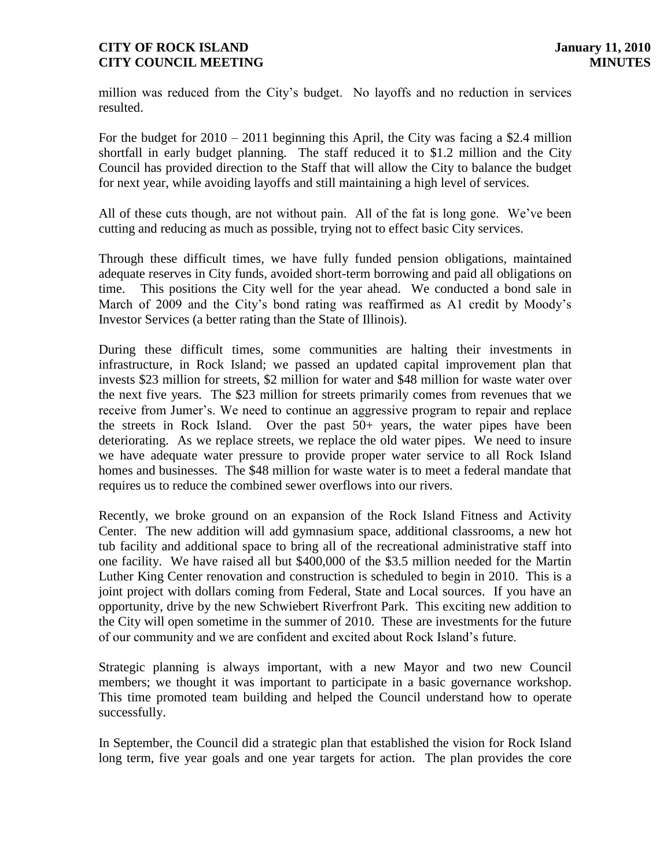million was reduced from the City's budget. No layoffs and no reduction in services resulted.

For the budget for  $2010 - 2011$  beginning this April, the City was facing a \$2.4 million shortfall in early budget planning. The staff reduced it to \$1.2 million and the City Council has provided direction to the Staff that will allow the City to balance the budget for next year, while avoiding layoffs and still maintaining a high level of services.

All of these cuts though, are not without pain. All of the fat is long gone. We've been cutting and reducing as much as possible, trying not to effect basic City services.

Through these difficult times, we have fully funded pension obligations, maintained adequate reserves in City funds, avoided short-term borrowing and paid all obligations on time. This positions the City well for the year ahead. We conducted a bond sale in March of 2009 and the City's bond rating was reaffirmed as A1 credit by Moody's Investor Services (a better rating than the State of Illinois).

During these difficult times, some communities are halting their investments in infrastructure, in Rock Island; we passed an updated capital improvement plan that invests \$23 million for streets, \$2 million for water and \$48 million for waste water over the next five years. The \$23 million for streets primarily comes from revenues that we receive from Jumer's. We need to continue an aggressive program to repair and replace the streets in Rock Island. Over the past 50+ years, the water pipes have been deteriorating. As we replace streets, we replace the old water pipes. We need to insure we have adequate water pressure to provide proper water service to all Rock Island homes and businesses. The \$48 million for waste water is to meet a federal mandate that requires us to reduce the combined sewer overflows into our rivers.

Recently, we broke ground on an expansion of the Rock Island Fitness and Activity Center. The new addition will add gymnasium space, additional classrooms, a new hot tub facility and additional space to bring all of the recreational administrative staff into one facility. We have raised all but \$400,000 of the \$3.5 million needed for the Martin Luther King Center renovation and construction is scheduled to begin in 2010. This is a joint project with dollars coming from Federal, State and Local sources. If you have an opportunity, drive by the new Schwiebert Riverfront Park. This exciting new addition to the City will open sometime in the summer of 2010. These are investments for the future of our community and we are confident and excited about Rock Island's future.

Strategic planning is always important, with a new Mayor and two new Council members; we thought it was important to participate in a basic governance workshop. This time promoted team building and helped the Council understand how to operate successfully.

In September, the Council did a strategic plan that established the vision for Rock Island long term, five year goals and one year targets for action. The plan provides the core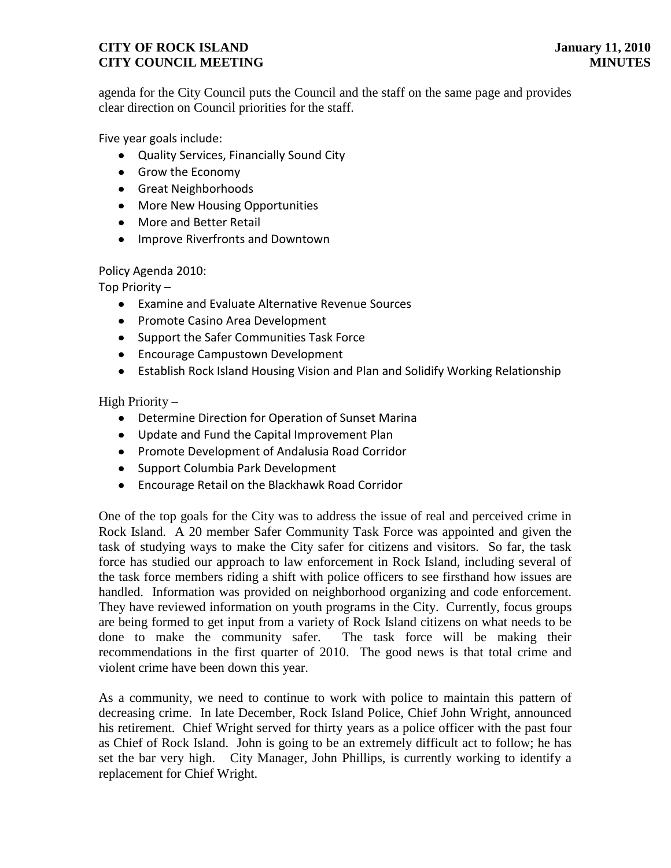agenda for the City Council puts the Council and the staff on the same page and provides clear direction on Council priorities for the staff.

Five year goals include:

- Quality Services, Financially Sound City
- Grow the Economy
- **Great Neighborhoods**
- More New Housing Opportunities
- More and Better Retail
- Improve Riverfronts and Downtown

Policy Agenda 2010:

Top Priority –

- Examine and Evaluate Alternative Revenue Sources
- Promote Casino Area Development
- Support the Safer Communities Task Force
- **•** Encourage Campustown Development
- Establish Rock Island Housing Vision and Plan and Solidify Working Relationship

High Priority –

- Determine Direction for Operation of Sunset Marina
- Update and Fund the Capital Improvement Plan
- Promote Development of Andalusia Road Corridor
- Support Columbia Park Development
- Encourage Retail on the Blackhawk Road Corridor

One of the top goals for the City was to address the issue of real and perceived crime in Rock Island. A 20 member Safer Community Task Force was appointed and given the task of studying ways to make the City safer for citizens and visitors. So far, the task force has studied our approach to law enforcement in Rock Island, including several of the task force members riding a shift with police officers to see firsthand how issues are handled. Information was provided on neighborhood organizing and code enforcement. They have reviewed information on youth programs in the City. Currently, focus groups are being formed to get input from a variety of Rock Island citizens on what needs to be done to make the community safer. The task force will be making their recommendations in the first quarter of 2010. The good news is that total crime and violent crime have been down this year.

As a community, we need to continue to work with police to maintain this pattern of decreasing crime. In late December, Rock Island Police, Chief John Wright, announced his retirement. Chief Wright served for thirty years as a police officer with the past four as Chief of Rock Island. John is going to be an extremely difficult act to follow; he has set the bar very high. City Manager, John Phillips, is currently working to identify a replacement for Chief Wright.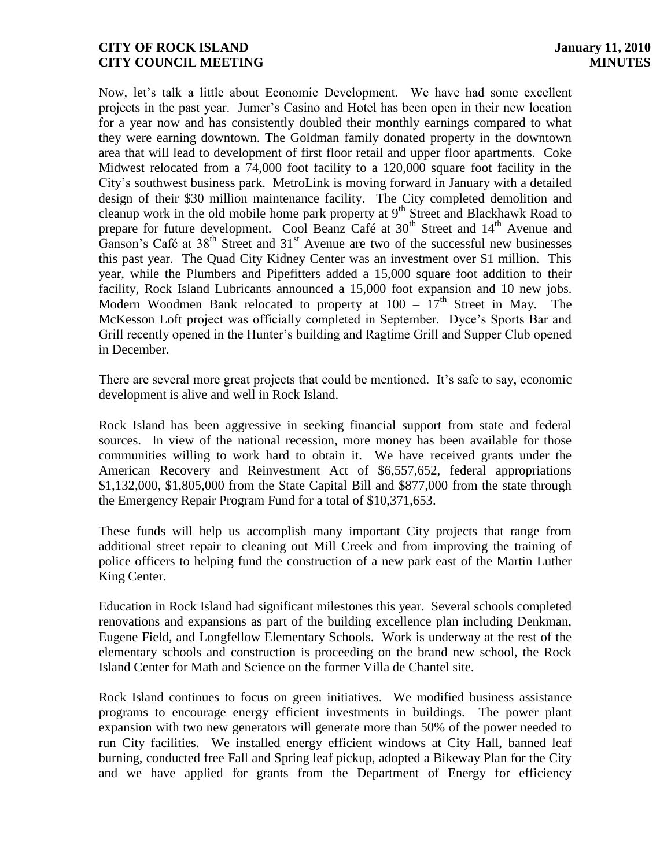Now, let's talk a little about Economic Development. We have had some excellent projects in the past year. Jumer's Casino and Hotel has been open in their new location for a year now and has consistently doubled their monthly earnings compared to what they were earning downtown. The Goldman family donated property in the downtown area that will lead to development of first floor retail and upper floor apartments. Coke Midwest relocated from a 74,000 foot facility to a 120,000 square foot facility in the City's southwest business park. MetroLink is moving forward in January with a detailed design of their \$30 million maintenance facility. The City completed demolition and cleanup work in the old mobile home park property at  $9<sup>th</sup>$  Street and Blackhawk Road to prepare for future development. Cool Beanz Café at 30<sup>th</sup> Street and 14<sup>th</sup> Avenue and Ganson's Café at  $38<sup>th</sup>$  Street and  $31<sup>st</sup>$  Avenue are two of the successful new businesses this past year. The Quad City Kidney Center was an investment over \$1 million. This year, while the Plumbers and Pipefitters added a 15,000 square foot addition to their facility, Rock Island Lubricants announced a 15,000 foot expansion and 10 new jobs. Modern Woodmen Bank relocated to property at  $100 - 17<sup>th</sup>$  Street in May. The McKesson Loft project was officially completed in September. Dyce's Sports Bar and Grill recently opened in the Hunter's building and Ragtime Grill and Supper Club opened in December.

There are several more great projects that could be mentioned. It's safe to say, economic development is alive and well in Rock Island.

Rock Island has been aggressive in seeking financial support from state and federal sources. In view of the national recession, more money has been available for those communities willing to work hard to obtain it. We have received grants under the American Recovery and Reinvestment Act of \$6,557,652, federal appropriations \$1,132,000, \$1,805,000 from the State Capital Bill and \$877,000 from the state through the Emergency Repair Program Fund for a total of \$10,371,653.

These funds will help us accomplish many important City projects that range from additional street repair to cleaning out Mill Creek and from improving the training of police officers to helping fund the construction of a new park east of the Martin Luther King Center.

Education in Rock Island had significant milestones this year. Several schools completed renovations and expansions as part of the building excellence plan including Denkman, Eugene Field, and Longfellow Elementary Schools. Work is underway at the rest of the elementary schools and construction is proceeding on the brand new school, the Rock Island Center for Math and Science on the former Villa de Chantel site.

Rock Island continues to focus on green initiatives. We modified business assistance programs to encourage energy efficient investments in buildings. The power plant expansion with two new generators will generate more than 50% of the power needed to run City facilities. We installed energy efficient windows at City Hall, banned leaf burning, conducted free Fall and Spring leaf pickup, adopted a Bikeway Plan for the City and we have applied for grants from the Department of Energy for efficiency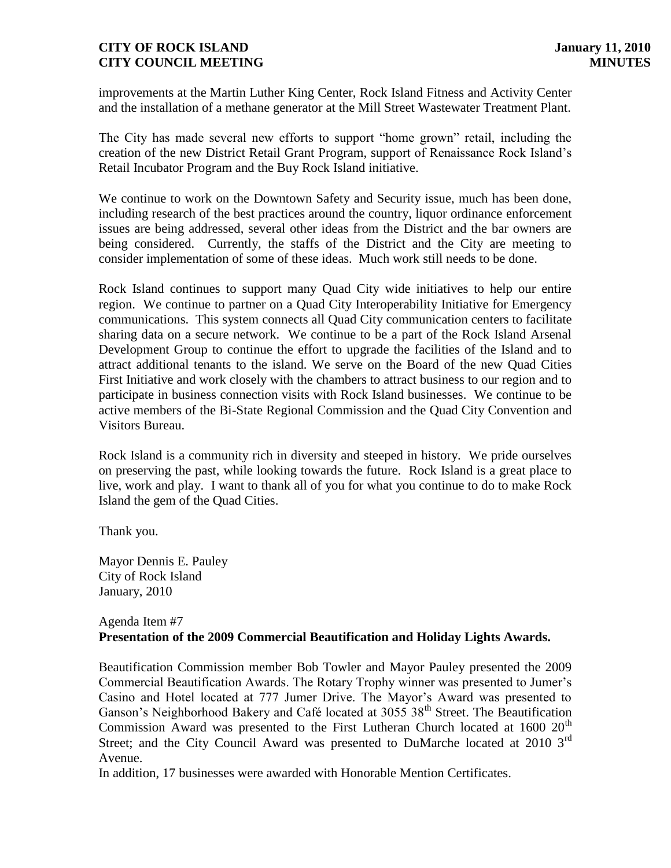improvements at the Martin Luther King Center, Rock Island Fitness and Activity Center and the installation of a methane generator at the Mill Street Wastewater Treatment Plant.

The City has made several new efforts to support "home grown" retail, including the creation of the new District Retail Grant Program, support of Renaissance Rock Island's Retail Incubator Program and the Buy Rock Island initiative.

We continue to work on the Downtown Safety and Security issue, much has been done, including research of the best practices around the country, liquor ordinance enforcement issues are being addressed, several other ideas from the District and the bar owners are being considered. Currently, the staffs of the District and the City are meeting to consider implementation of some of these ideas. Much work still needs to be done.

Rock Island continues to support many Quad City wide initiatives to help our entire region. We continue to partner on a Quad City Interoperability Initiative for Emergency communications. This system connects all Quad City communication centers to facilitate sharing data on a secure network. We continue to be a part of the Rock Island Arsenal Development Group to continue the effort to upgrade the facilities of the Island and to attract additional tenants to the island. We serve on the Board of the new Quad Cities First Initiative and work closely with the chambers to attract business to our region and to participate in business connection visits with Rock Island businesses. We continue to be active members of the Bi-State Regional Commission and the Quad City Convention and Visitors Bureau.

Rock Island is a community rich in diversity and steeped in history. We pride ourselves on preserving the past, while looking towards the future. Rock Island is a great place to live, work and play. I want to thank all of you for what you continue to do to make Rock Island the gem of the Quad Cities.

Thank you.

Mayor Dennis E. Pauley City of Rock Island January, 2010

#### Agenda Item #7 **Presentation of the 2009 Commercial Beautification and Holiday Lights Awards.**

Beautification Commission member Bob Towler and Mayor Pauley presented the 2009 Commercial Beautification Awards. The Rotary Trophy winner was presented to Jumer's Casino and Hotel located at 777 Jumer Drive. The Mayor's Award was presented to Ganson's Neighborhood Bakery and Café located at 3055 38<sup>th</sup> Street. The Beautification Commission Award was presented to the First Lutheran Church located at  $1600 20<sup>th</sup>$ Street; and the City Council Award was presented to DuMarche located at 2010 3<sup>rd</sup> Avenue.

In addition, 17 businesses were awarded with Honorable Mention Certificates.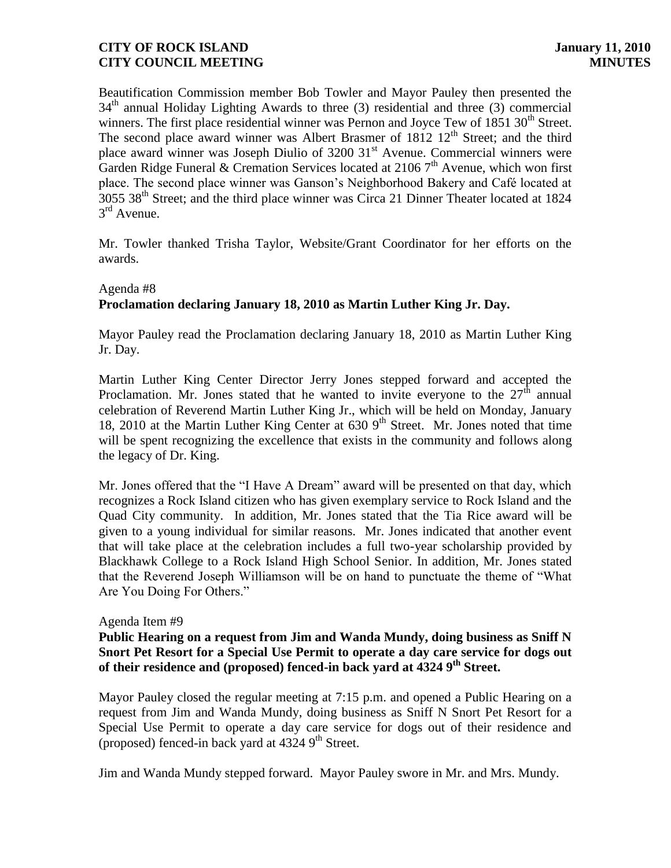Beautification Commission member Bob Towler and Mayor Pauley then presented the  $34<sup>th</sup>$  annual Holiday Lighting Awards to three (3) residential and three (3) commercial winners. The first place residential winner was Pernon and Joyce Tew of  $1851,30<sup>th</sup>$  Street. The second place award winner was Albert Brasmer of  $1812 \ 12<sup>th</sup>$  Street; and the third place award winner was Joseph Diulio of 3200 31<sup>st</sup> Avenue. Commercial winners were Garden Ridge Funeral & Cremation Services located at 2106  $7<sup>th</sup>$  Avenue, which won first place. The second place winner was Ganson's Neighborhood Bakery and Café located at 3055 38<sup>th</sup> Street; and the third place winner was Circa 21 Dinner Theater located at 1824 3<sup>rd</sup> Avenue.

Mr. Towler thanked Trisha Taylor, Website/Grant Coordinator for her efforts on the awards.

#### Agenda #8

# **Proclamation declaring January 18, 2010 as Martin Luther King Jr. Day.**

Mayor Pauley read the Proclamation declaring January 18, 2010 as Martin Luther King Jr. Day.

Martin Luther King Center Director Jerry Jones stepped forward and accepted the Proclamation. Mr. Jones stated that he wanted to invite everyone to the  $27<sup>th</sup>$  annual celebration of Reverend Martin Luther King Jr., which will be held on Monday, January 18, 2010 at the Martin Luther King Center at  $6309<sup>th</sup>$  Street. Mr. Jones noted that time will be spent recognizing the excellence that exists in the community and follows along the legacy of Dr. King.

Mr. Jones offered that the "I Have A Dream" award will be presented on that day, which recognizes a Rock Island citizen who has given exemplary service to Rock Island and the Quad City community. In addition, Mr. Jones stated that the Tia Rice award will be given to a young individual for similar reasons. Mr. Jones indicated that another event that will take place at the celebration includes a full two-year scholarship provided by Blackhawk College to a Rock Island High School Senior. In addition, Mr. Jones stated that the Reverend Joseph Williamson will be on hand to punctuate the theme of "What Are You Doing For Others."

#### Agenda Item #9

#### **Public Hearing on a request from Jim and Wanda Mundy, doing business as Sniff N Snort Pet Resort for a Special Use Permit to operate a day care service for dogs out of their residence and (proposed) fenced-in back yard at 4324 9th Street.**

Mayor Pauley closed the regular meeting at 7:15 p.m. and opened a Public Hearing on a request from Jim and Wanda Mundy, doing business as Sniff N Snort Pet Resort for a Special Use Permit to operate a day care service for dogs out of their residence and (proposed) fenced-in back yard at  $4324$  9<sup>th</sup> Street.

Jim and Wanda Mundy stepped forward. Mayor Pauley swore in Mr. and Mrs. Mundy.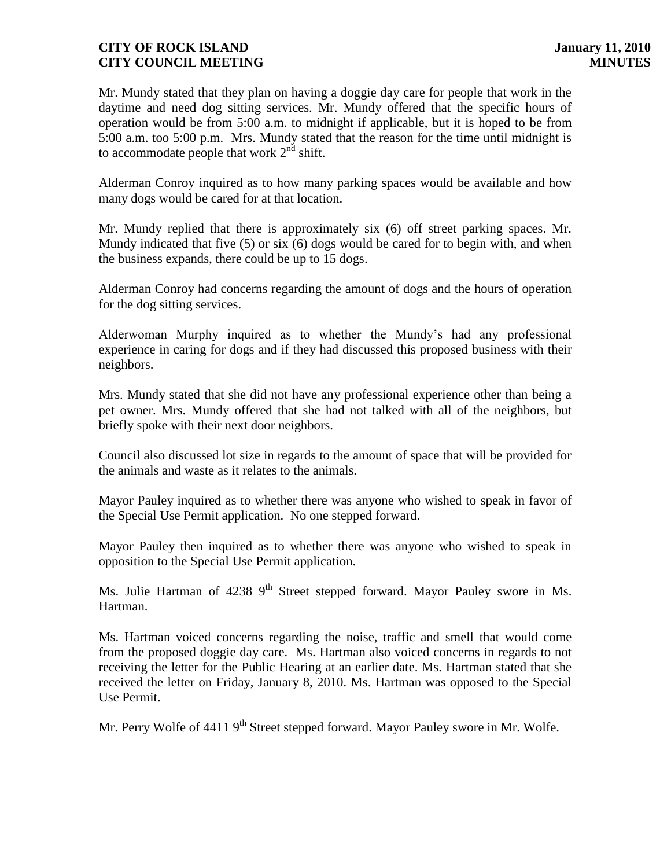Mr. Mundy stated that they plan on having a doggie day care for people that work in the daytime and need dog sitting services. Mr. Mundy offered that the specific hours of operation would be from 5:00 a.m. to midnight if applicable, but it is hoped to be from 5:00 a.m. too 5:00 p.m. Mrs. Mundy stated that the reason for the time until midnight is to accommodate people that work  $2<sup>nd</sup>$  shift.

Alderman Conroy inquired as to how many parking spaces would be available and how many dogs would be cared for at that location.

Mr. Mundy replied that there is approximately six (6) off street parking spaces. Mr. Mundy indicated that five (5) or six (6) dogs would be cared for to begin with, and when the business expands, there could be up to 15 dogs.

Alderman Conroy had concerns regarding the amount of dogs and the hours of operation for the dog sitting services.

Alderwoman Murphy inquired as to whether the Mundy's had any professional experience in caring for dogs and if they had discussed this proposed business with their neighbors.

Mrs. Mundy stated that she did not have any professional experience other than being a pet owner. Mrs. Mundy offered that she had not talked with all of the neighbors, but briefly spoke with their next door neighbors.

Council also discussed lot size in regards to the amount of space that will be provided for the animals and waste as it relates to the animals.

Mayor Pauley inquired as to whether there was anyone who wished to speak in favor of the Special Use Permit application. No one stepped forward.

Mayor Pauley then inquired as to whether there was anyone who wished to speak in opposition to the Special Use Permit application.

Ms. Julie Hartman of  $4238$  9<sup>th</sup> Street stepped forward. Mayor Pauley swore in Ms. Hartman.

Ms. Hartman voiced concerns regarding the noise, traffic and smell that would come from the proposed doggie day care. Ms. Hartman also voiced concerns in regards to not receiving the letter for the Public Hearing at an earlier date. Ms. Hartman stated that she received the letter on Friday, January 8, 2010. Ms. Hartman was opposed to the Special Use Permit.

Mr. Perry Wolfe of 4411 9<sup>th</sup> Street stepped forward. Mayor Pauley swore in Mr. Wolfe.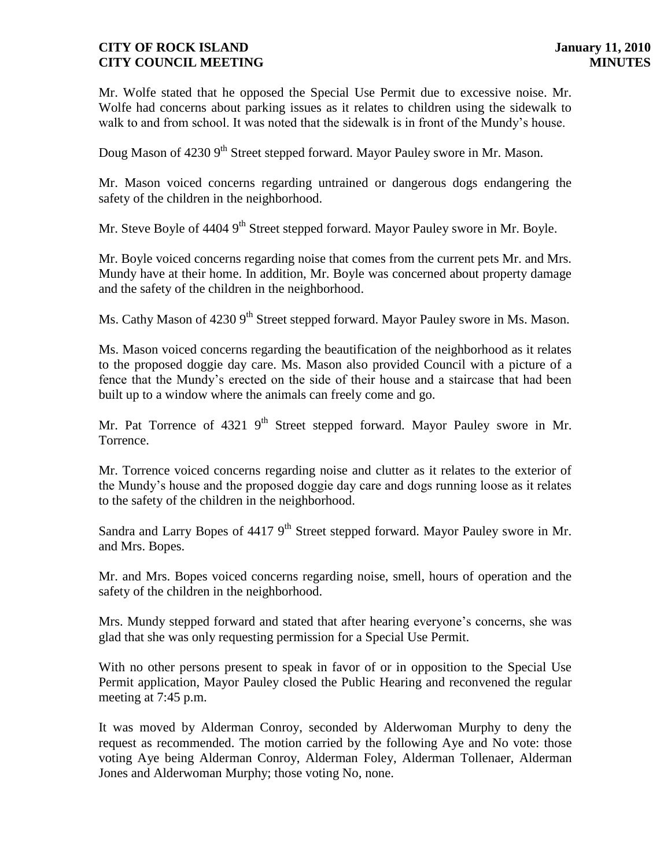Mr. Wolfe stated that he opposed the Special Use Permit due to excessive noise. Mr. Wolfe had concerns about parking issues as it relates to children using the sidewalk to walk to and from school. It was noted that the sidewalk is in front of the Mundy's house.

Doug Mason of 4230 9<sup>th</sup> Street stepped forward. Mayor Pauley swore in Mr. Mason.

Mr. Mason voiced concerns regarding untrained or dangerous dogs endangering the safety of the children in the neighborhood.

Mr. Steve Boyle of 4404 9<sup>th</sup> Street stepped forward. Mayor Pauley swore in Mr. Boyle.

Mr. Boyle voiced concerns regarding noise that comes from the current pets Mr. and Mrs. Mundy have at their home. In addition, Mr. Boyle was concerned about property damage and the safety of the children in the neighborhood.

Ms. Cathy Mason of 4230 9<sup>th</sup> Street stepped forward. Mayor Pauley swore in Ms. Mason.

Ms. Mason voiced concerns regarding the beautification of the neighborhood as it relates to the proposed doggie day care. Ms. Mason also provided Council with a picture of a fence that the Mundy's erected on the side of their house and a staircase that had been built up to a window where the animals can freely come and go.

Mr. Pat Torrence of 4321 9<sup>th</sup> Street stepped forward. Mayor Pauley swore in Mr. Torrence.

Mr. Torrence voiced concerns regarding noise and clutter as it relates to the exterior of the Mundy's house and the proposed doggie day care and dogs running loose as it relates to the safety of the children in the neighborhood.

Sandra and Larry Bopes of  $4417.9<sup>th</sup>$  Street stepped forward. Mayor Pauley swore in Mr. and Mrs. Bopes.

Mr. and Mrs. Bopes voiced concerns regarding noise, smell, hours of operation and the safety of the children in the neighborhood.

Mrs. Mundy stepped forward and stated that after hearing everyone's concerns, she was glad that she was only requesting permission for a Special Use Permit.

With no other persons present to speak in favor of or in opposition to the Special Use Permit application, Mayor Pauley closed the Public Hearing and reconvened the regular meeting at 7:45 p.m.

It was moved by Alderman Conroy, seconded by Alderwoman Murphy to deny the request as recommended. The motion carried by the following Aye and No vote: those voting Aye being Alderman Conroy, Alderman Foley, Alderman Tollenaer, Alderman Jones and Alderwoman Murphy; those voting No, none.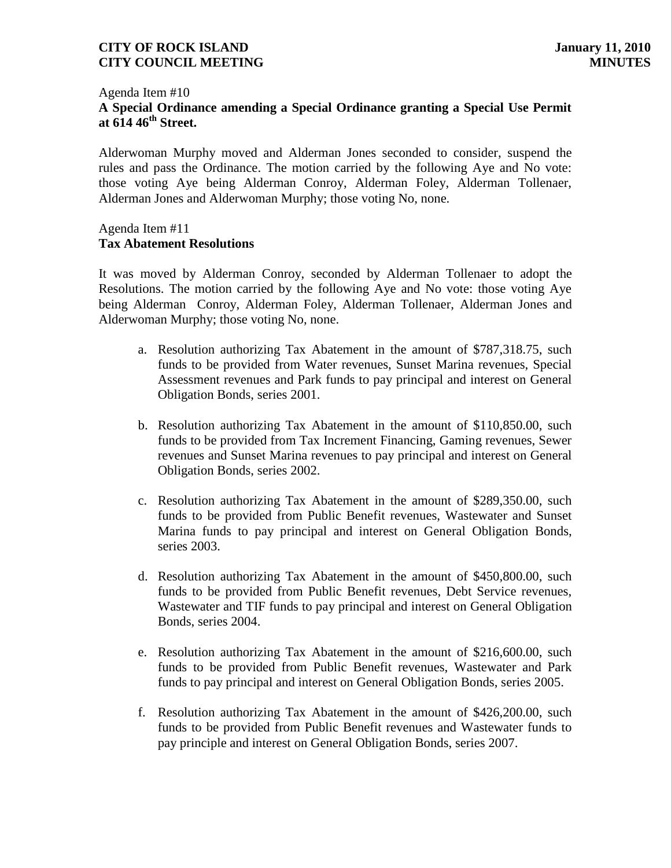#### Agenda Item #10 **A Special Ordinance amending a Special Ordinance granting a Special Use Permit at 614 46th Street.**

Alderwoman Murphy moved and Alderman Jones seconded to consider, suspend the rules and pass the Ordinance. The motion carried by the following Aye and No vote: those voting Aye being Alderman Conroy, Alderman Foley, Alderman Tollenaer, Alderman Jones and Alderwoman Murphy; those voting No, none.

#### Agenda Item #11 **Tax Abatement Resolutions**

It was moved by Alderman Conroy, seconded by Alderman Tollenaer to adopt the Resolutions. The motion carried by the following Aye and No vote: those voting Aye being Alderman Conroy, Alderman Foley, Alderman Tollenaer, Alderman Jones and Alderwoman Murphy; those voting No, none.

- a. Resolution authorizing Tax Abatement in the amount of \$787,318.75, such funds to be provided from Water revenues, Sunset Marina revenues, Special Assessment revenues and Park funds to pay principal and interest on General Obligation Bonds, series 2001.
- b. Resolution authorizing Tax Abatement in the amount of \$110,850.00, such funds to be provided from Tax Increment Financing, Gaming revenues, Sewer revenues and Sunset Marina revenues to pay principal and interest on General Obligation Bonds, series 2002.
- c. Resolution authorizing Tax Abatement in the amount of \$289,350.00, such funds to be provided from Public Benefit revenues, Wastewater and Sunset Marina funds to pay principal and interest on General Obligation Bonds, series 2003.
- d. Resolution authorizing Tax Abatement in the amount of \$450,800.00, such funds to be provided from Public Benefit revenues, Debt Service revenues, Wastewater and TIF funds to pay principal and interest on General Obligation Bonds, series 2004.
- e. Resolution authorizing Tax Abatement in the amount of \$216,600.00, such funds to be provided from Public Benefit revenues, Wastewater and Park funds to pay principal and interest on General Obligation Bonds, series 2005.
- f. Resolution authorizing Tax Abatement in the amount of \$426,200.00, such funds to be provided from Public Benefit revenues and Wastewater funds to pay principle and interest on General Obligation Bonds, series 2007.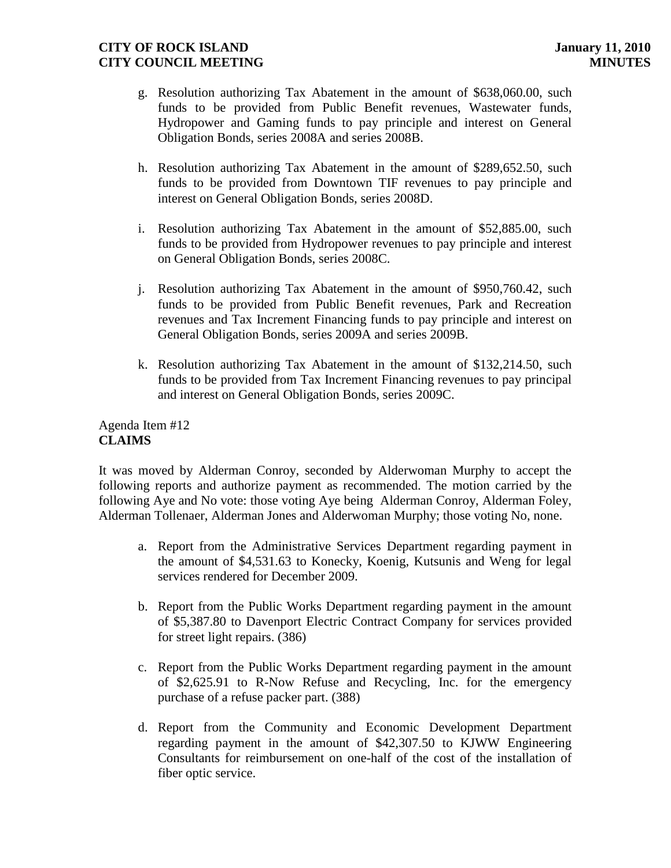- g. Resolution authorizing Tax Abatement in the amount of \$638,060.00, such funds to be provided from Public Benefit revenues, Wastewater funds, Hydropower and Gaming funds to pay principle and interest on General Obligation Bonds, series 2008A and series 2008B.
- h. Resolution authorizing Tax Abatement in the amount of \$289,652.50, such funds to be provided from Downtown TIF revenues to pay principle and interest on General Obligation Bonds, series 2008D.
- i. Resolution authorizing Tax Abatement in the amount of \$52,885.00, such funds to be provided from Hydropower revenues to pay principle and interest on General Obligation Bonds, series 2008C.
- j. Resolution authorizing Tax Abatement in the amount of \$950,760.42, such funds to be provided from Public Benefit revenues, Park and Recreation revenues and Tax Increment Financing funds to pay principle and interest on General Obligation Bonds, series 2009A and series 2009B.
- k. Resolution authorizing Tax Abatement in the amount of \$132,214.50, such funds to be provided from Tax Increment Financing revenues to pay principal and interest on General Obligation Bonds, series 2009C.

Agenda Item #12 **CLAIMS**

It was moved by Alderman Conroy, seconded by Alderwoman Murphy to accept the following reports and authorize payment as recommended. The motion carried by the following Aye and No vote: those voting Aye being Alderman Conroy, Alderman Foley, Alderman Tollenaer, Alderman Jones and Alderwoman Murphy; those voting No, none.

- a. Report from the Administrative Services Department regarding payment in the amount of \$4,531.63 to Konecky, Koenig, Kutsunis and Weng for legal services rendered for December 2009.
- b. Report from the Public Works Department regarding payment in the amount of \$5,387.80 to Davenport Electric Contract Company for services provided for street light repairs. (386)
- c. Report from the Public Works Department regarding payment in the amount of \$2,625.91 to R-Now Refuse and Recycling, Inc. for the emergency purchase of a refuse packer part. (388)
- d. Report from the Community and Economic Development Department regarding payment in the amount of \$42,307.50 to KJWW Engineering Consultants for reimbursement on one-half of the cost of the installation of fiber optic service.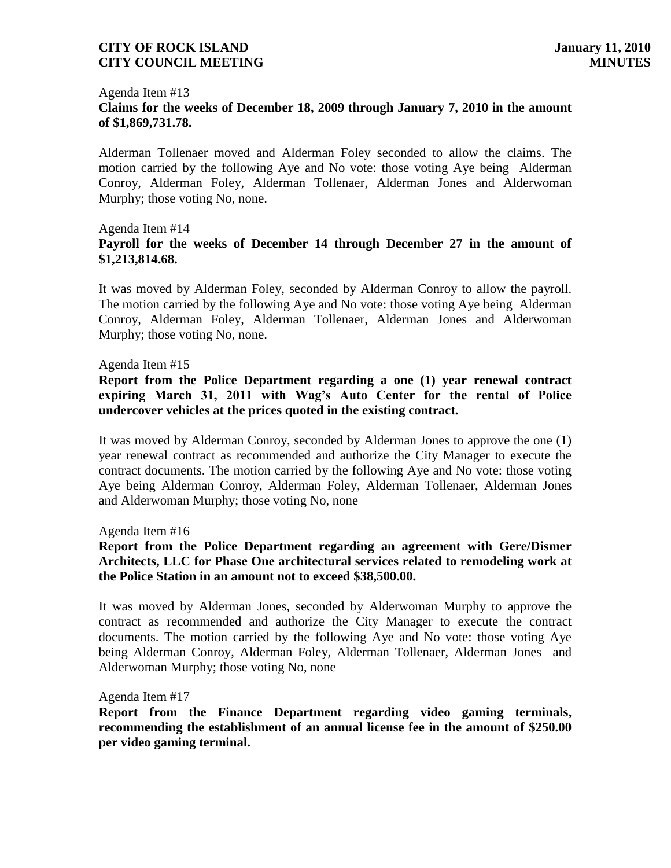#### Agenda Item #13 **Claims for the weeks of December 18, 2009 through January 7, 2010 in the amount of \$1,869,731.78.**

Alderman Tollenaer moved and Alderman Foley seconded to allow the claims. The motion carried by the following Aye and No vote: those voting Aye being Alderman Conroy, Alderman Foley, Alderman Tollenaer, Alderman Jones and Alderwoman Murphy; those voting No, none.

#### Agenda Item #14 **Payroll for the weeks of December 14 through December 27 in the amount of \$1,213,814.68.**

It was moved by Alderman Foley, seconded by Alderman Conroy to allow the payroll. The motion carried by the following Aye and No vote: those voting Aye being Alderman Conroy, Alderman Foley, Alderman Tollenaer, Alderman Jones and Alderwoman Murphy; those voting No, none.

#### Agenda Item #15

**Report from the Police Department regarding a one (1) year renewal contract expiring March 31, 2011 with Wag's Auto Center for the rental of Police undercover vehicles at the prices quoted in the existing contract.**

It was moved by Alderman Conroy, seconded by Alderman Jones to approve the one (1) year renewal contract as recommended and authorize the City Manager to execute the contract documents. The motion carried by the following Aye and No vote: those voting Aye being Alderman Conroy, Alderman Foley, Alderman Tollenaer, Alderman Jones and Alderwoman Murphy; those voting No, none

Agenda Item #16

# **Report from the Police Department regarding an agreement with Gere/Dismer Architects, LLC for Phase One architectural services related to remodeling work at the Police Station in an amount not to exceed \$38,500.00.**

It was moved by Alderman Jones, seconded by Alderwoman Murphy to approve the contract as recommended and authorize the City Manager to execute the contract documents. The motion carried by the following Aye and No vote: those voting Aye being Alderman Conroy, Alderman Foley, Alderman Tollenaer, Alderman Jones and Alderwoman Murphy; those voting No, none

#### Agenda Item #17

**Report from the Finance Department regarding video gaming terminals, recommending the establishment of an annual license fee in the amount of \$250.00 per video gaming terminal.**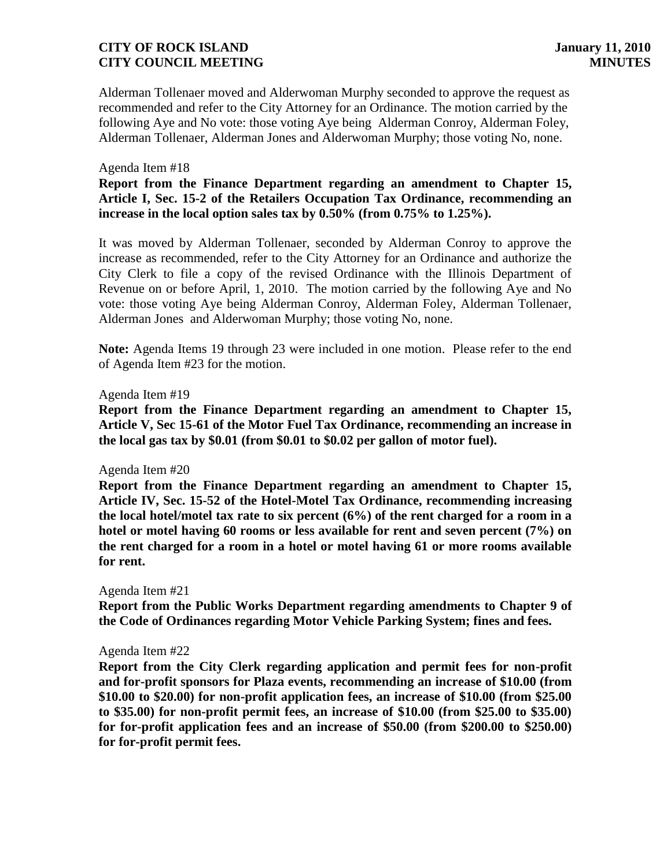Alderman Tollenaer moved and Alderwoman Murphy seconded to approve the request as recommended and refer to the City Attorney for an Ordinance. The motion carried by the following Aye and No vote: those voting Aye being Alderman Conroy, Alderman Foley, Alderman Tollenaer, Alderman Jones and Alderwoman Murphy; those voting No, none.

#### Agenda Item #18

**Report from the Finance Department regarding an amendment to Chapter 15, Article I, Sec. 15-2 of the Retailers Occupation Tax Ordinance, recommending an increase in the local option sales tax by 0.50% (from 0.75% to 1.25%).**

It was moved by Alderman Tollenaer, seconded by Alderman Conroy to approve the increase as recommended, refer to the City Attorney for an Ordinance and authorize the City Clerk to file a copy of the revised Ordinance with the Illinois Department of Revenue on or before April, 1, 2010. The motion carried by the following Aye and No vote: those voting Aye being Alderman Conroy, Alderman Foley, Alderman Tollenaer, Alderman Jones and Alderwoman Murphy; those voting No, none.

**Note:** Agenda Items 19 through 23 were included in one motion. Please refer to the end of Agenda Item #23 for the motion.

#### Agenda Item #19

**Report from the Finance Department regarding an amendment to Chapter 15, Article V, Sec 15-61 of the Motor Fuel Tax Ordinance, recommending an increase in the local gas tax by \$0.01 (from \$0.01 to \$0.02 per gallon of motor fuel).**

#### Agenda Item #20

**Report from the Finance Department regarding an amendment to Chapter 15, Article IV, Sec. 15-52 of the Hotel-Motel Tax Ordinance, recommending increasing the local hotel/motel tax rate to six percent (6%) of the rent charged for a room in a hotel or motel having 60 rooms or less available for rent and seven percent (7%) on the rent charged for a room in a hotel or motel having 61 or more rooms available for rent.**

#### Agenda Item #21

**Report from the Public Works Department regarding amendments to Chapter 9 of the Code of Ordinances regarding Motor Vehicle Parking System; fines and fees.**

#### Agenda Item #22

**Report from the City Clerk regarding application and permit fees for non-profit and for-profit sponsors for Plaza events, recommending an increase of \$10.00 (from \$10.00 to \$20.00) for non-profit application fees, an increase of \$10.00 (from \$25.00 to \$35.00) for non-profit permit fees, an increase of \$10.00 (from \$25.00 to \$35.00) for for-profit application fees and an increase of \$50.00 (from \$200.00 to \$250.00) for for-profit permit fees.**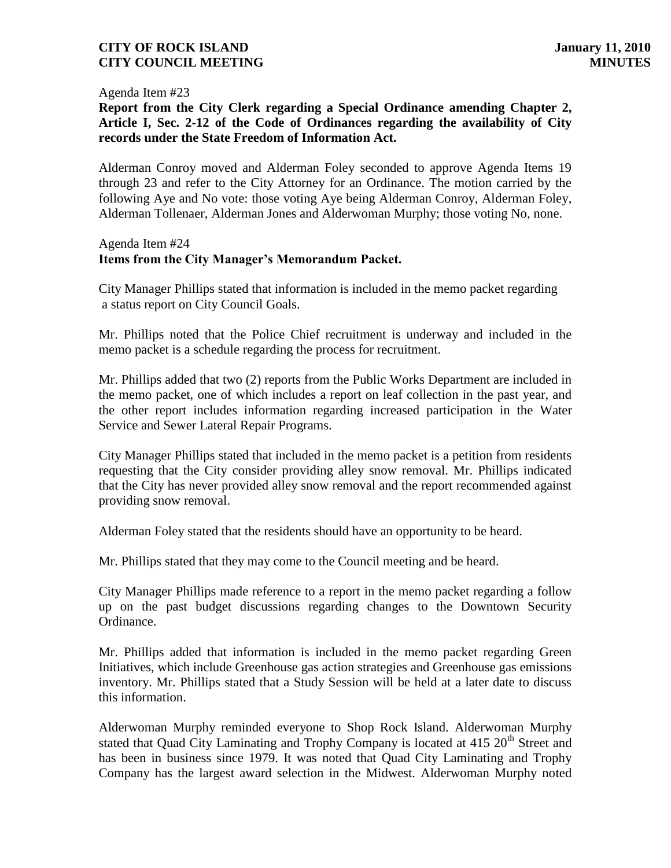#### Agenda Item #23

**Report from the City Clerk regarding a Special Ordinance amending Chapter 2, Article I, Sec. 2-12 of the Code of Ordinances regarding the availability of City records under the State Freedom of Information Act.** 

Alderman Conroy moved and Alderman Foley seconded to approve Agenda Items 19 through 23 and refer to the City Attorney for an Ordinance. The motion carried by the following Aye and No vote: those voting Aye being Alderman Conroy, Alderman Foley, Alderman Tollenaer, Alderman Jones and Alderwoman Murphy; those voting No, none.

#### Agenda Item #24 **Items from the City Manager's Memorandum Packet.**

City Manager Phillips stated that information is included in the memo packet regarding a status report on City Council Goals.

Mr. Phillips noted that the Police Chief recruitment is underway and included in the memo packet is a schedule regarding the process for recruitment.

Mr. Phillips added that two (2) reports from the Public Works Department are included in the memo packet, one of which includes a report on leaf collection in the past year, and the other report includes information regarding increased participation in the Water Service and Sewer Lateral Repair Programs.

City Manager Phillips stated that included in the memo packet is a petition from residents requesting that the City consider providing alley snow removal. Mr. Phillips indicated that the City has never provided alley snow removal and the report recommended against providing snow removal.

Alderman Foley stated that the residents should have an opportunity to be heard.

Mr. Phillips stated that they may come to the Council meeting and be heard.

City Manager Phillips made reference to a report in the memo packet regarding a follow up on the past budget discussions regarding changes to the Downtown Security Ordinance.

Mr. Phillips added that information is included in the memo packet regarding Green Initiatives, which include Greenhouse gas action strategies and Greenhouse gas emissions inventory. Mr. Phillips stated that a Study Session will be held at a later date to discuss this information.

Alderwoman Murphy reminded everyone to Shop Rock Island. Alderwoman Murphy stated that Quad City Laminating and Trophy Company is located at 415 20<sup>th</sup> Street and has been in business since 1979. It was noted that Quad City Laminating and Trophy Company has the largest award selection in the Midwest. Alderwoman Murphy noted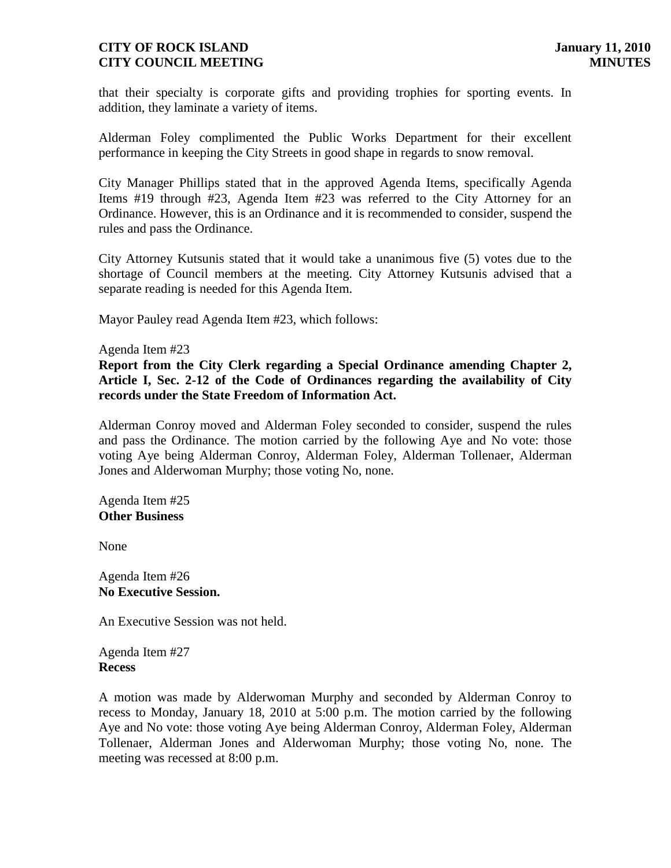that their specialty is corporate gifts and providing trophies for sporting events. In addition, they laminate a variety of items.

Alderman Foley complimented the Public Works Department for their excellent performance in keeping the City Streets in good shape in regards to snow removal.

City Manager Phillips stated that in the approved Agenda Items, specifically Agenda Items #19 through #23, Agenda Item #23 was referred to the City Attorney for an Ordinance. However, this is an Ordinance and it is recommended to consider, suspend the rules and pass the Ordinance.

City Attorney Kutsunis stated that it would take a unanimous five (5) votes due to the shortage of Council members at the meeting. City Attorney Kutsunis advised that a separate reading is needed for this Agenda Item.

Mayor Pauley read Agenda Item #23, which follows:

Agenda Item #23

**Report from the City Clerk regarding a Special Ordinance amending Chapter 2, Article I, Sec. 2-12 of the Code of Ordinances regarding the availability of City records under the State Freedom of Information Act.** 

Alderman Conroy moved and Alderman Foley seconded to consider, suspend the rules and pass the Ordinance. The motion carried by the following Aye and No vote: those voting Aye being Alderman Conroy, Alderman Foley, Alderman Tollenaer, Alderman Jones and Alderwoman Murphy; those voting No, none.

Agenda Item #25 **Other Business**

None

Agenda Item #26 **No Executive Session.**

An Executive Session was not held.

Agenda Item #27 **Recess**

A motion was made by Alderwoman Murphy and seconded by Alderman Conroy to recess to Monday, January 18, 2010 at 5:00 p.m. The motion carried by the following Aye and No vote: those voting Aye being Alderman Conroy, Alderman Foley, Alderman Tollenaer, Alderman Jones and Alderwoman Murphy; those voting No, none. The meeting was recessed at 8:00 p.m.